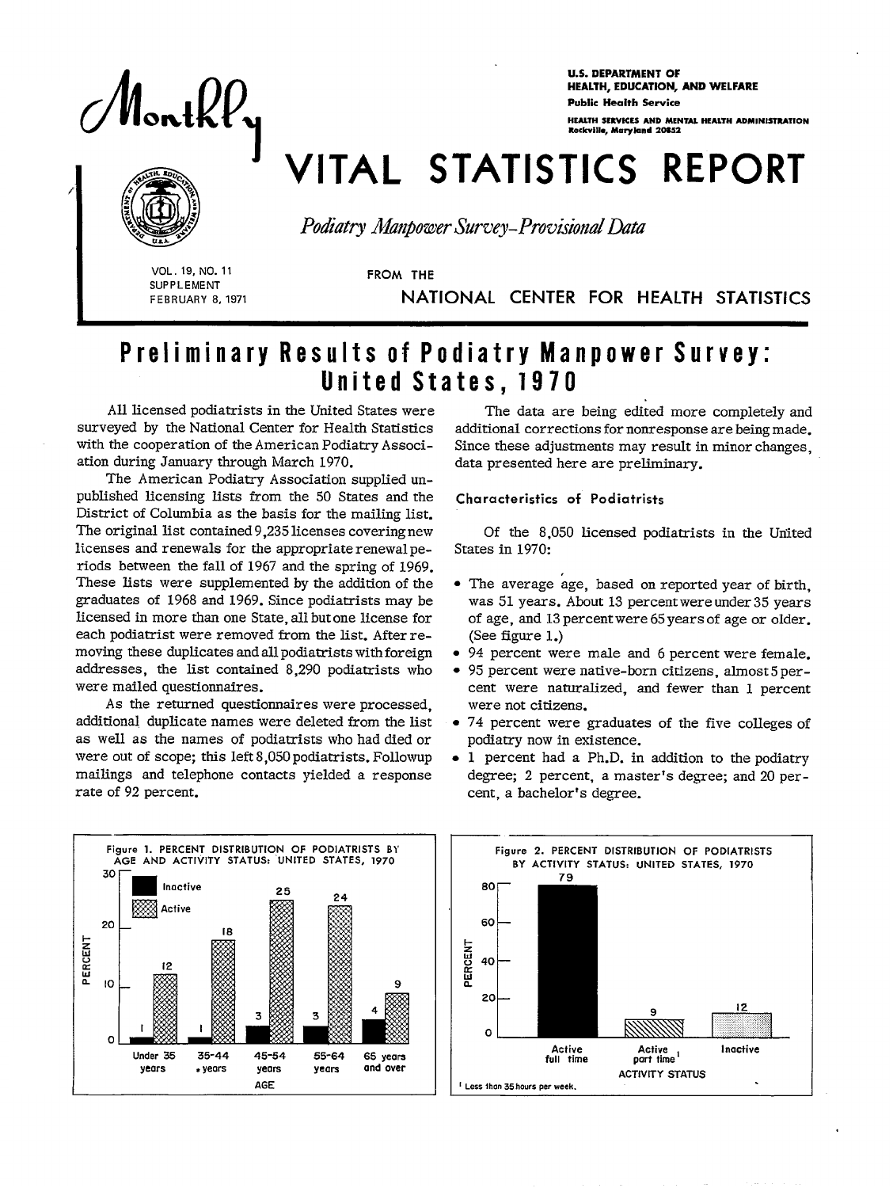

**U.S. DEPARTMENT OF** HEALTH, EDUCATION, AND WELFARE Public Health Servise HEALTH SERVICES AND MENTAL HEALTH ADMINISTRATION Rodcvill.,MmyEand 20ss2

# **VITAL STATISTICS REPORT**



Podiatry Manpower Survey-Provisional Data

**\ (, SUPPLEMENT THE SEAL OF STATE SEAL FROM THE** 

**FEBRUARY 8,1971** NATIONAL CENTER FOR HEALTH STATISTICS

## Preliminary Results of Podiatry Manpower Survey: United States, 1970

All licensed podiatrists in the United States were The data are being edited more completely and surveyed by the National Center for Health Statistics additional corrections for nonresponse are being made. ation during January through March 1970. data presented here are preliminary.

The American Podiatry Association supplied unpublished licensing lists from the 50 States and the Characteristics of Podiatrists District of Columbia as the basis for the mailing list. The original list contained 9,235 licenses covering new Of the 8,050 licensed podiatrists in the United licenses and renewals for the appropriate renewal pe-<br>States in 1970: licenses and renewals for the appropriate renewal periods between the fall of 1967 and the spring of 1969. These lists were supplemented by the addition of the  $\bullet$  The average age, based on reported year of birth, graduates of 1968 and 1969. Since podiatrists may be was 51 years. About 13 percent were under 35 years licensed in more than one State, all but one license for of age, and 13 percent were 65 years of age or older. each podiatrist were removed from the list. After re- (See figure 1.) moving these duplicates and all podiatrists with foreign  $\bullet$  94 percent were male and 6 percent were female. addresses, the list contained 8,290 podiatrists who • 95 percent were native-born citizens, almost 5 per-<br>were mailed questionnaires. ent were naturalized, and fewer than 1 percent

As the returned questionnaires were processed, were not citizens. additional duplicate names were deleted from the list  $\bullet$  74 percent were graduates of the five colleges of as well as the names of podiatrists who had died or podiatry now in existence. were out of scope; this left 8,050 podiatrists. Followup  $\bullet$  1 percent had a Ph.D. in addition to the podiatry mailings and telephone contacts yielded a response degree; 2 percent, a master's degree; and 20 perrate of 92 percent. Cent, a bachelor's degree.

surveyed by the National Center for Health Statistics additional corrections for nonresponse are being made.<br>with the cooperation of the American Podiatry Associ- Since these adjustments may result in minor changes Since these adjustments may result in minor changes.

- 
- 
- cent were naturalized, and fewer than 1 percent
- 
- 



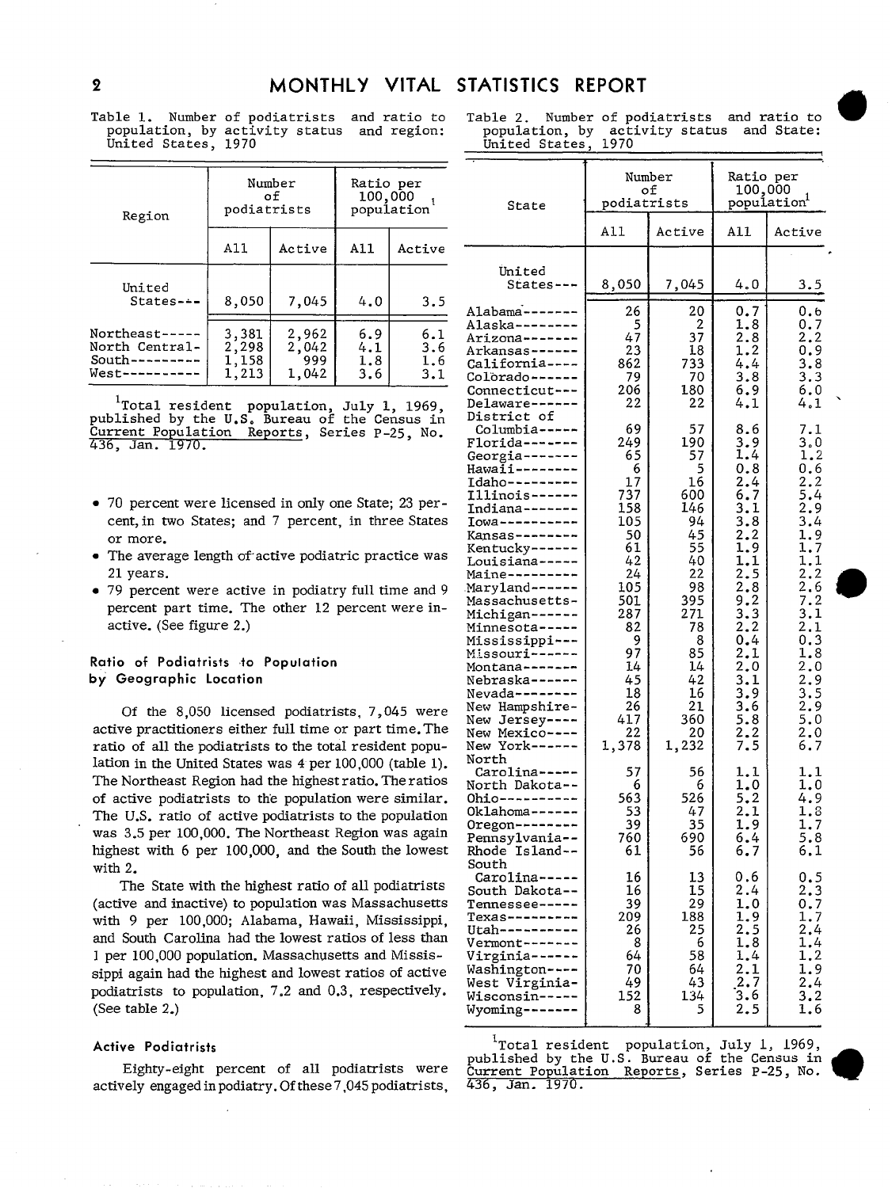Table 1. Number of podiatrists and ratio to population, by activity status and region: United States, 1970

| Region                                                             | podiatrists                      | Number<br>οf                   | Ratio per<br>100,000<br>population |                          |
|--------------------------------------------------------------------|----------------------------------|--------------------------------|------------------------------------|--------------------------|
|                                                                    | A11                              | Active                         | A11                                | Active                   |
| United<br>$States--$                                               | 8,050                            | 7,045                          | 4.0                                | 3.5                      |
| Northeast-----<br>North Central-<br>$South-----$<br>West---------- | 3,381<br>2,298<br>1,158<br>1,213 | 2,962<br>2,042<br>999<br>1,042 | 6.9<br>4.1<br>1.8<br>3.6           | 6.1<br>3.6<br>1.6<br>3.1 |

<sup>1</sup>Total resident population, July 1, 1969,<br>published by the U.S. Bureau of the Census in<br>Current Population Reports, Series P-25, No. 436, Jan. 1970.

- 70 percent were licensed in only one State; 23 percent, in two States; and 7 percent, in three States or more.
- The average length of active podiatric practice was 21 vears.
- 79 percent were active in podiatry full time and 9 percent part time. The other 12 percent were inactive. (See figure 2.)

### Ratio of Podiatrists to Population by Geographic Location

Of the 8,050 licensed podiatrists, 7,045 were active practitioners either full time or part time. The ratio of all the podiatrists to the total resident population in the United States was  $4$  per 100,000 (table 1). The Northeast Region had the highest ratio. The ratios of active podiatrists to the population were similar. The U.S. ratio of active podiatrists to the population was 3.5 per 100,000. The Northeast Region was again highest with 6 per 100,000, and the South the lowest with  $2.$ 

The State with the highest ratio of all podiatrists (active and inactive) to population was Massachusetts with 9 per 100,000; Alabama, Hawaii, Mississippi, and South Carolina had the lowest ratios of less than 1 per 100,000 population. Massachusetts and Mississippi again had the highest and lowest ratios of active podiatrists to population, 7.2 and 0.3, respectively. (See table 2.)

#### **Active Podiatrists**

Eighty-eight percent of all podiatrists were actively engaged in podiatry. Of these 7,045 podiatrists,

Number of podiatrists and ratio to Table 2. population, by activity status and State: United States, 1970

|                                                                                                                                                                                                                                                                                                                                                                                                                                                                             |                                                                                                                                                             | Number<br>оf                                                                                                                                              | Ratio per<br>100,000                                                                                                                                                                                   |                                                                                                                                                                                      |
|-----------------------------------------------------------------------------------------------------------------------------------------------------------------------------------------------------------------------------------------------------------------------------------------------------------------------------------------------------------------------------------------------------------------------------------------------------------------------------|-------------------------------------------------------------------------------------------------------------------------------------------------------------|-----------------------------------------------------------------------------------------------------------------------------------------------------------|--------------------------------------------------------------------------------------------------------------------------------------------------------------------------------------------------------|--------------------------------------------------------------------------------------------------------------------------------------------------------------------------------------|
| State                                                                                                                                                                                                                                                                                                                                                                                                                                                                       | podiatrists                                                                                                                                                 |                                                                                                                                                           | popuĺation <sup>1</sup>                                                                                                                                                                                |                                                                                                                                                                                      |
|                                                                                                                                                                                                                                                                                                                                                                                                                                                                             | All                                                                                                                                                         | Active                                                                                                                                                    | All                                                                                                                                                                                                    | Active                                                                                                                                                                               |
| United<br>States-                                                                                                                                                                                                                                                                                                                                                                                                                                                           | 8,050                                                                                                                                                       | 7,045                                                                                                                                                     | 4.O                                                                                                                                                                                                    | 3.5                                                                                                                                                                                  |
| Alabama-------<br>Alaska--------<br>Arizona-------<br>Arkansas------<br>California----<br>colorado------<br>Connecticut---<br>Delaware <mark>---</mark>                                                                                                                                                                                                                                                                                                                     | 26<br>$\frac{5}{47}$<br>23<br>862<br>79<br>206<br>22                                                                                                        | 20<br>$rac{2}{37}$<br>18<br>733<br>70<br>180<br>22                                                                                                        | 0.7<br>1.8<br>2.8<br>1.2<br>4.4<br>3.8<br>6.9<br>4.1                                                                                                                                                   | 0.6<br>0.7<br>2, 2<br>0.9<br>3.8<br>3.3<br>6.0<br>4.1                                                                                                                                |
| District of<br>Columbia-----<br>Florida-------<br>Georgia-------<br>Hawaii--------<br>Idaho---------<br>Illinois------<br>Indiana-------<br>Iowa----------<br>Kansas--------<br>Kentucky------<br>Louisiana-----<br>Maine---------<br>Maryland------<br>Massachusetts-<br>Michigan------<br>Minnesota-----<br>Mississippi---<br>Missouri------<br>Montana-------<br>Nebraska------<br>Nevada--------<br>New Hampshire-<br>New Jersey----<br>New Mexico----<br>New York----- | 69<br>249<br>65<br>6<br>17<br>737<br>158<br>105<br>50<br>61<br>42<br>24<br>105<br>501<br>287<br>82<br>9<br>97<br>14<br>45<br>18<br>26<br>417<br>22<br>1,378 | 57<br>190<br>57<br>5<br>16<br>600<br>146<br>94<br>45<br>55<br>40<br>22<br>98<br>395<br>271<br>78<br>8<br>85<br>14<br>42<br>16<br>21<br>360<br>20<br>1,232 | 8.6<br>3.9<br>1.4<br>0.8<br>2.4<br>6.7<br>3.1<br>3.8<br>$\overline{2.2}$<br>1.9<br>1.1<br>2.5<br>2.8<br>9.2<br>3.3<br>2.2<br>0.4<br>$\frac{2.1}{2.0}$<br>3,1<br>3.9<br>3.6<br>$\frac{5.8}{2.2}$<br>7.5 | 7.1<br>3.0<br>1.2<br>0.6<br>2, 2<br>5.4<br>2.9<br>3.4<br>1.9<br>1.7<br>1.1<br>2, 2<br>$\frac{2}{7}$ . 2<br>3.1<br>2.1<br>0.3<br>1.8<br>2.0<br>2.9<br>3.5<br>2.9<br>5.0<br>2.0<br>6.7 |
| North<br>Carolina-----<br>North Dakota--<br><u> Ohio----------</u><br>Oklahoma------<br>Oregon--------<br>Pennsylvania--<br>Rhode Island--                                                                                                                                                                                                                                                                                                                                  | 57<br>6<br>563<br>53<br>39<br>760<br>61                                                                                                                     | 56<br>6<br>526<br>47<br>35<br>690<br>56                                                                                                                   | 1.1<br>1.0<br>5.2<br>2.1<br>1.9<br>6.4<br>6.7                                                                                                                                                          | 1.1<br>1.0<br>4.9<br>1.8<br>1.7<br>5.8<br>6.1                                                                                                                                        |
| South<br>Carolina-----<br>South Dakota--<br>------------<br>rexas-------<br>Utah--------<br>Vermont-------<br>Virginia------<br>Washington----<br>West Virginia-<br>Wisconsin-----<br>Jyoming--                                                                                                                                                                                                                                                                             | 16<br>16<br>39<br>209<br>26<br>8<br>64<br>70<br>49<br>152<br>8                                                                                              | 13<br>15<br>29<br>188<br>25<br>6<br>58<br>64<br>43<br>134<br>5                                                                                            | 0.6<br>2.4<br>1.0<br>1.9<br>2.5<br>1.8<br>1.4<br>2.1<br>$\frac{2.7}{3.6}$<br>2.5                                                                                                                       | 0.5<br>2.3<br>0.7<br>1.7<br>$\overline{2.4}$<br>1.4<br>1.2<br>1.9<br>2.4<br>3.2<br>1.6                                                                                               |

<sup>1</sup>Total resident population, July 1, 1969,<br>published by the U.S. Bureau of the Census in Current Population Reports, Series P-25, No. 436, Jan. 1970.



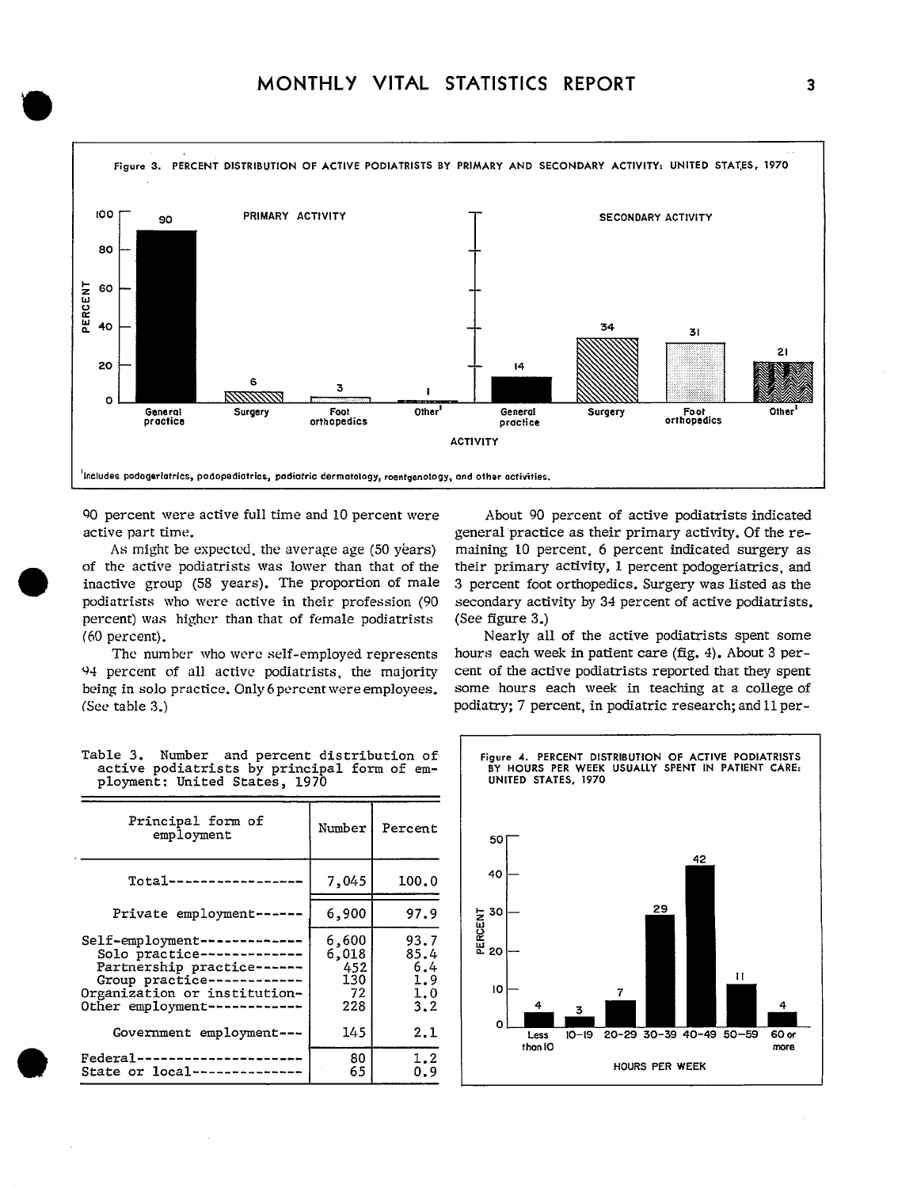

'?0 percent were active fulltimeand 10 percent were About 90 percent of active podiatrists indicated

percent) was higher than that of female podiatrists (See figure 3.)

94 percent of all active podiatrists, the majority cent of the active podiatrists reported that they spent being in solo practice. Only 6 percent were employees. some hours each week in teaching at a college of (See table 3.) podiatry; 7 percent, in podiatric research; and 11 per-

active part time.  $\Box$  general practice as their primary activity. Of the re-As might be expected, the average age (50 years) maining 10 percent, 6 percent indicated surgery as of the active podiatrists was lower than that of the their primary **activity,** 1 percent podogeriatrics, and inactive group (58 years). The proportion of male 3 percent foot orthopedics. Surgery was listed as the podiatrists who were active in their profession (90 secondary activity by 34 percent of active podiatrists.

(60 **percent).** Nearly all of the active podiatrists spent some hours each week in patient care (fig. 4). About 3 per-

| Principal form of<br>employment                                                                                                                                            | Number                                    | Percent                                  | 50 I                                            |
|----------------------------------------------------------------------------------------------------------------------------------------------------------------------------|-------------------------------------------|------------------------------------------|-------------------------------------------------|
| $Total-----$                                                                                                                                                               | 7,045                                     | 100.0                                    | 42<br>40                                        |
| Private employment ---                                                                                                                                                     | 6,900                                     | 97.9                                     | 29                                              |
| Self-employment--<br>---------<br>Solo practice-------------<br>Partnership practice------<br>Group practice-<br>Organization or institution-<br>Other employment--------- | 6,600<br>6,018<br>452<br>130<br>72<br>228 | 93.7<br>85.4<br>6.4<br>1.9<br>1.0<br>3.2 | PERCENT<br>20<br>20<br>п<br>10<br>7<br>4<br>3   |
| Covernment employment ---                                                                                                                                                  | 145                                       | 2.1                                      | o<br>20-29 30-39 40-49 50-<br>$10 - 19$<br>Less |
| Federal-<br>State or local ----------                                                                                                                                      | 80<br>65                                  | 1.2<br>0.9                               | than IO<br><b>HOURS PER WEEK</b>                |